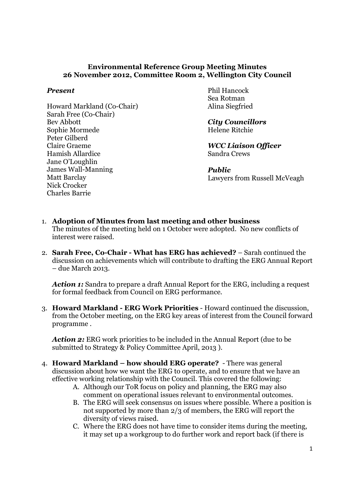## Environmental Reference Group Meeting Minutes 26 November 2012, Committee Room 2, Wellington City Council

## Present

Howard Markland (Co-Chair) Sarah Free (Co-Chair) Bev Abbott Sophie Mormede Peter Gilberd Claire Graeme Hamish Allardice Jane O'Loughlin James Wall-Manning Matt Barclay Nick Crocker Charles Barrie

Phil Hancock Sea Rotman Alina Siegfried

City Councillors Helene Ritchie

WCC Liaison Officer Sandra Crews

Public Lawyers from Russell McVeagh

- 1. Adoption of Minutes from last meeting and other business The minutes of the meeting held on 1 October were adopted. No new conflicts of interest were raised.
- 2. Sarah Free, Co-Chair What has ERG has achieved? Sarah continued the discussion on achievements which will contribute to drafting the ERG Annual Report – due March 2013.

Action 1: Sandra to prepare a draft Annual Report for the ERG, including a request for formal feedback from Council on ERG performance.

3. Howard Markland - ERG Work Priorities - Howard continued the discussion, from the October meeting, on the ERG key areas of interest from the Council forward programme .

Action 2: ERG work priorities to be included in the Annual Report (due to be submitted to Strategy & Policy Committee April, 2013 ).

- 4. Howard Markland how should ERG operate? There was general discussion about how we want the ERG to operate, and to ensure that we have an effective working relationship with the Council. This covered the following:
	- A. Although our ToR focus on policy and planning, the ERG may also comment on operational issues relevant to environmental outcomes.
	- B. The ERG will seek consensus on issues where possible. Where a position is not supported by more than 2/3 of members, the ERG will report the diversity of views raised.
	- C. Where the ERG does not have time to consider items during the meeting, it may set up a workgroup to do further work and report back (if there is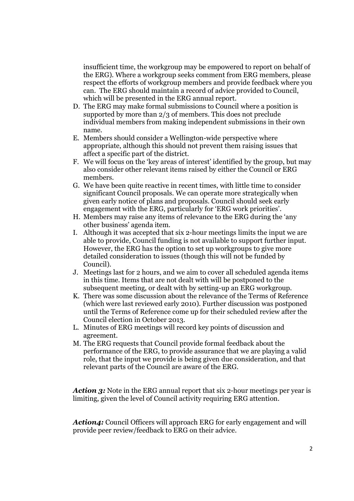insufficient time, the workgroup may be empowered to report on behalf of the ERG). Where a workgroup seeks comment from ERG members, please respect the efforts of workgroup members and provide feedback where you can. The ERG should maintain a record of advice provided to Council, which will be presented in the ERG annual report.

- D. The ERG may make formal submissions to Council where a position is supported by more than 2/3 of members. This does not preclude individual members from making independent submissions in their own name.
- E. Members should consider a Wellington-wide perspective where appropriate, although this should not prevent them raising issues that affect a specific part of the district.
- F. We will focus on the 'key areas of interest' identified by the group, but may also consider other relevant items raised by either the Council or ERG members.
- G. We have been quite reactive in recent times, with little time to consider significant Council proposals. We can operate more strategically when given early notice of plans and proposals. Council should seek early engagement with the ERG, particularly for 'ERG work priorities'.
- H. Members may raise any items of relevance to the ERG during the 'any other business' agenda item.
- I. Although it was accepted that six 2-hour meetings limits the input we are able to provide, Council funding is not available to support further input. However, the ERG has the option to set up workgroups to give more detailed consideration to issues (though this will not be funded by Council).
- J. Meetings last for 2 hours, and we aim to cover all scheduled agenda items in this time. Items that are not dealt with will be postponed to the subsequent meeting, or dealt with by setting-up an ERG workgroup.
- K. There was some discussion about the relevance of the Terms of Reference (which were last reviewed early 2010). Further discussion was postponed until the Terms of Reference come up for their scheduled review after the Council election in October 2013.
- L. Minutes of ERG meetings will record key points of discussion and agreement.
- M. The ERG requests that Council provide formal feedback about the performance of the ERG, to provide assurance that we are playing a valid role, that the input we provide is being given due consideration, and that relevant parts of the Council are aware of the ERG.

Action 3: Note in the ERG annual report that six 2-hour meetings per year is limiting, given the level of Council activity requiring ERG attention.

Action4: Council Officers will approach ERG for early engagement and will provide peer review/feedback to ERG on their advice.